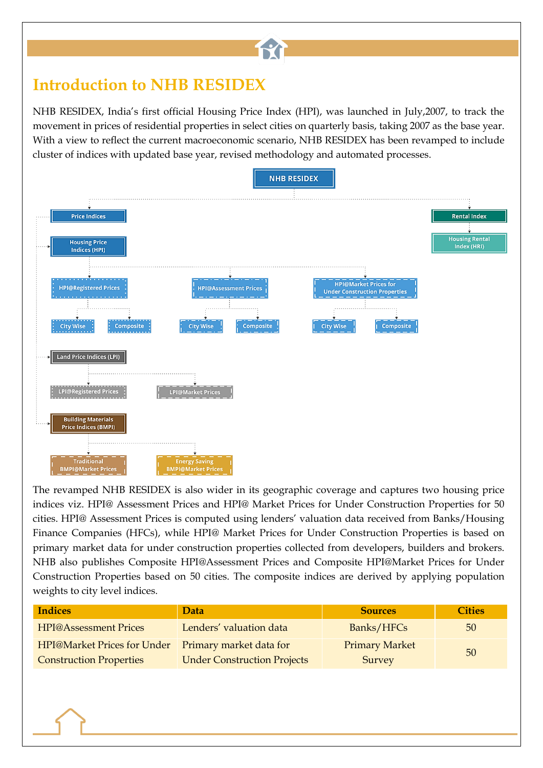## **Introduction to NHB RESIDEX**

NHB RESIDEX, India's first official Housing Price Index (HPI), was launched in July,2007, to track the movement in prices of residential properties in select cities on quarterly basis, taking 2007 as the base year. With a view to reflect the current macroeconomic scenario, NHB RESIDEX has been revamped to include cluster of indices with updated base year, revised methodology and automated processes.

**TY** 



The revamped NHB RESIDEX is also wider in its geographic coverage and captures two housing price indices viz. HPI@ Assessment Prices and HPI@ Market Prices for Under Construction Properties for 50 cities. HPI@ Assessment Prices is computed using lenders' valuation data received from Banks/Housing Finance Companies (HFCs), while HPI@ Market Prices for Under Construction Properties is based on primary market data for under construction properties collected from developers, builders and brokers. NHB also publishes Composite HPI@Assessment Prices and Composite HPI@Market Prices for Under Construction Properties based on 50 cities. The composite indices are derived by applying population weights to city level indices.

| <b>Indices</b>                                      | Data                               | <b>Sources</b>        | <b>Cities</b> |
|-----------------------------------------------------|------------------------------------|-----------------------|---------------|
| <b>HPI@Assessment Prices</b>                        | Lenders' valuation data            | Banks/HFCs            | 50            |
| HPI@Market Prices for Under Primary market data for |                                    | <b>Primary Market</b> | 50            |
| <b>Construction Properties</b>                      | <b>Under Construction Projects</b> | Survey                |               |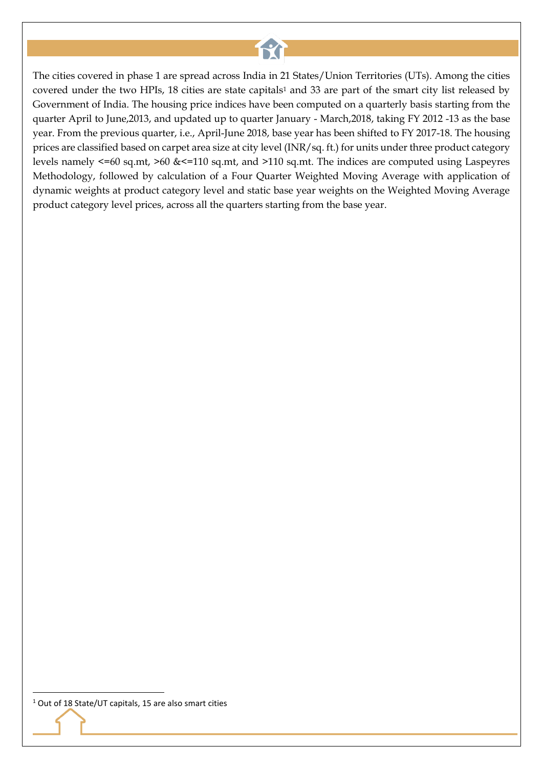# file

The cities covered in phase 1 are spread across India in 21 States/Union Territories (UTs). Among the cities covered under the two HPIs, 18 cities are state capitals<sup>1</sup> and 33 are part of the smart city list released by Government of India. The housing price indices have been computed on a quarterly basis starting from the quarter April to June,2013, and updated up to quarter January - March,2018, taking FY 2012 -13 as the base year. From the previous quarter, i.e., April-June 2018, base year has been shifted to FY 2017-18. The housing prices are classified based on carpet area size at city level (INR/sq. ft.) for units under three product category levels namely <=60 sq.mt, >60 &<=110 sq.mt, and >110 sq.mt. The indices are computed using Laspeyres Methodology, followed by calculation of a Four Quarter Weighted Moving Average with application of dynamic weights at product category level and static base year weights on the Weighted Moving Average product category level prices, across all the quarters starting from the base year.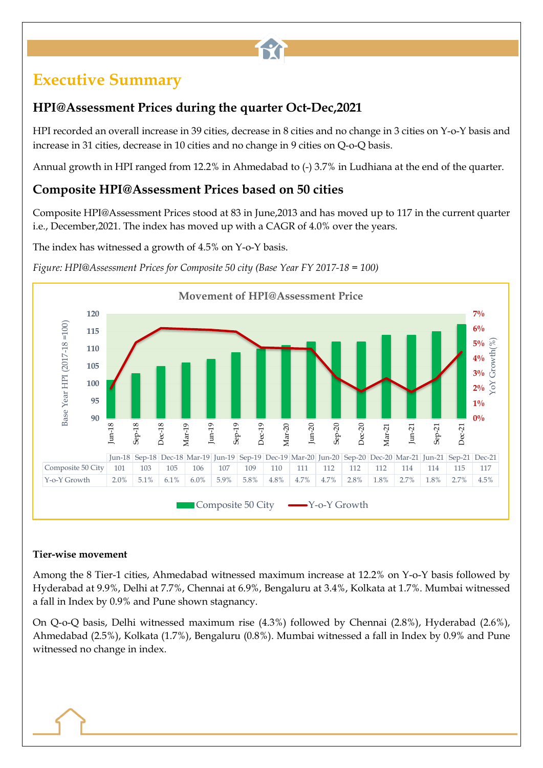## **Executive Summary**

### **HPI@Assessment Prices during the quarter Oct-Dec,2021**

HPI recorded an overall increase in 39 cities, decrease in 8 cities and no change in 3 cities on Y-o-Y basis and increase in 31 cities, decrease in 10 cities and no change in 9 cities on Q-o-Q basis.

file

Annual growth in HPI ranged from 12.2% in Ahmedabad to (-) 3.7% in Ludhiana at the end of the quarter.

#### **Composite HPI@Assessment Prices based on 50 cities**

Composite HPI@Assessment Prices stood at 83 in June,2013 and has moved up to 117 in the current quarter i.e., December,2021. The index has moved up with a CAGR of 4.0% over the years.

The index has witnessed a growth of 4.5% on Y-o-Y basis.



*Figure: HPI@Assessment Prices for Composite 50 city (Base Year FY 2017-18 = 100)*

#### **Tier-wise movement**

Among the 8 Tier-1 cities, Ahmedabad witnessed maximum increase at 12.2% on Y-o-Y basis followed by Hyderabad at 9.9%, Delhi at 7.7%, Chennai at 6.9%, Bengaluru at 3.4%, Kolkata at 1.7%. Mumbai witnessed a fall in Index by 0.9% and Pune shown stagnancy.

On Q-o-Q basis, Delhi witnessed maximum rise (4.3%) followed by Chennai (2.8%), Hyderabad (2.6%), Ahmedabad (2.5%), Kolkata (1.7%), Bengaluru (0.8%). Mumbai witnessed a fall in Index by 0.9% and Pune witnessed no change in index.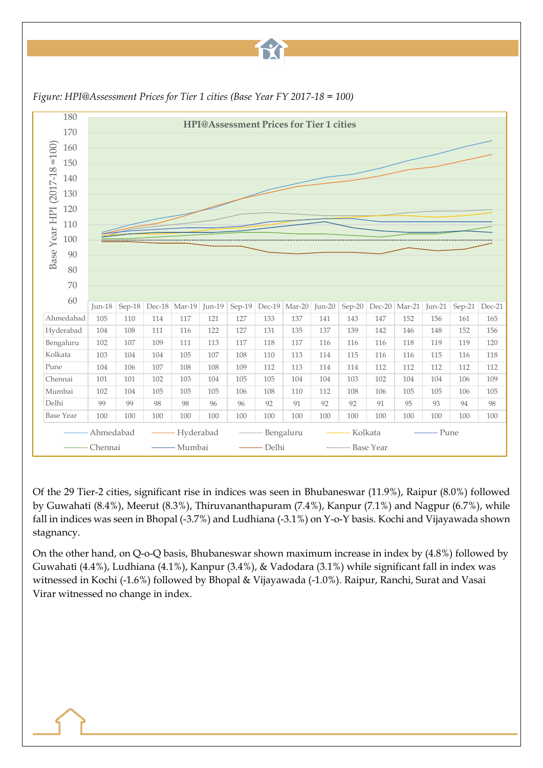# file



*Figure: HPI@Assessment Prices for Tier 1 cities (Base Year FY 2017-18 = 100)*

Of the 29 Tier-2 cities, significant rise in indices was seen in Bhubaneswar (11.9%), Raipur (8.0%) followed by Guwahati (8.4%), Meerut (8.3%), Thiruvananthapuram (7.4%), Kanpur (7.1%) and Nagpur (6.7%), while fall in indices was seen in Bhopal (-3.7%) and Ludhiana (-3.1%) on Y-o-Y basis. Kochi and Vijayawada shown stagnancy.

On the other hand, on Q-o-Q basis, Bhubaneswar shown maximum increase in index by (4.8%) followed by Guwahati (4.4%), Ludhiana (4.1%), Kanpur (3.4%), & Vadodara (3.1%) while significant fall in index was witnessed in Kochi (-1.6%) followed by Bhopal & Vijayawada (-1.0%). Raipur, Ranchi, Surat and Vasai Virar witnessed no change in index.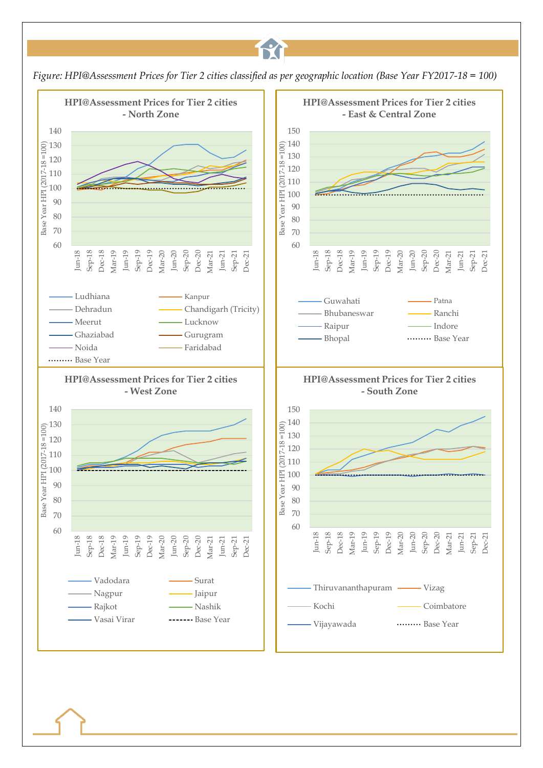

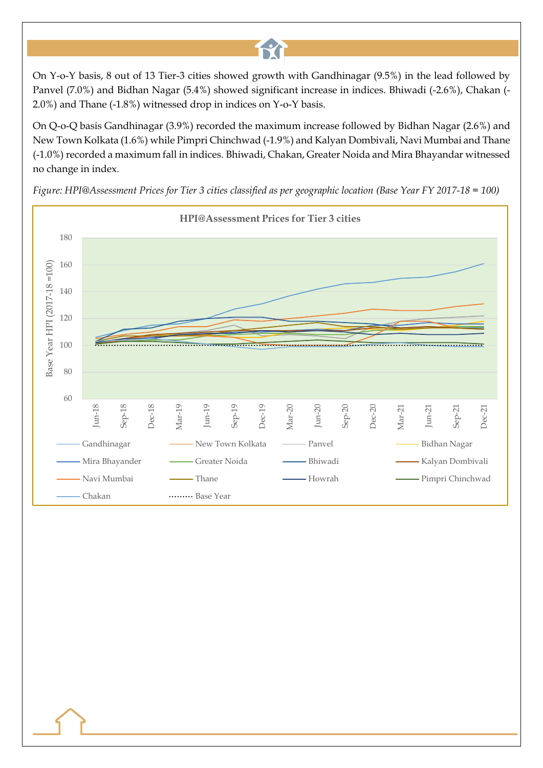On Y-o-Y basis, 8 out of 13 Tier-3 cities showed growth with Gandhinagar (9.5%) in the lead followed by Panvel (7.0%) and Bidhan Nagar (5.4%) showed significant increase in indices. Bhiwadi (-2.6%), Chakan (- 2.0%) and Thane (-1.8%) witnessed drop in indices on Y-o-Y basis.

12

On Q-o-Q basis Gandhinagar (3.9%) recorded the maximum increase followed by Bidhan Nagar (2.6%) and New Town Kolkata (1.6%) while Pimpri Chinchwad (-1.9%) and Kalyan Dombivali, Navi Mumbai and Thane (-1.0%) recorded a maximum fall in indices. Bhiwadi, Chakan, Greater Noida and Mira Bhayandar witnessed no change in index.



*Figure: HPI@Assessment Prices for Tier 3 cities classified as per geographic location (Base Year FY 2017-18 = 100)*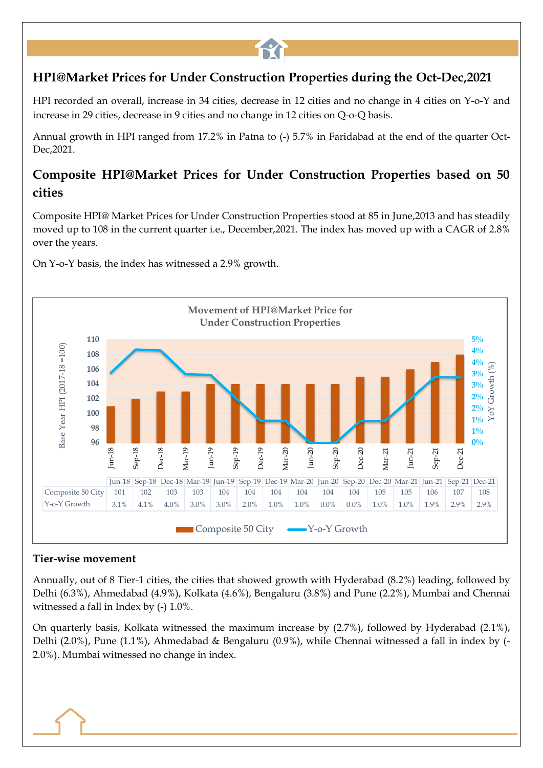#### **HPI@Market Prices for Under Construction Properties during the Oct-Dec,2021**

fri

HPI recorded an overall, increase in 34 cities, decrease in 12 cities and no change in 4 cities on Y-o-Y and increase in 29 cities, decrease in 9 cities and no change in 12 cities on Q-o-Q basis.

Annual growth in HPI ranged from 17.2% in Patna to (-) 5.7% in Faridabad at the end of the quarter Oct-Dec,2021.

#### **Composite HPI@Market Prices for Under Construction Properties based on 50 cities**

Composite HPI@ Market Prices for Under Construction Properties stood at 85 in June,2013 and has steadily moved up to 108 in the current quarter i.e., December,2021. The index has moved up with a CAGR of 2.8% over the years.



On Y-o-Y basis, the index has witnessed a 2.9% growth.

#### **Tier-wise movement**

Annually, out of 8 Tier-1 cities, the cities that showed growth with Hyderabad (8.2%) leading, followed by Delhi (6.3%), Ahmedabad (4.9%), Kolkata (4.6%), Bengaluru (3.8%) and Pune (2.2%), Mumbai and Chennai witnessed a fall in Index by (-) 1.0%.

On quarterly basis, Kolkata witnessed the maximum increase by (2.7%), followed by Hyderabad (2.1%), Delhi (2.0%), Pune (1.1%), Ahmedabad & Bengaluru (0.9%), while Chennai witnessed a fall in index by (- 2.0%). Mumbai witnessed no change in index.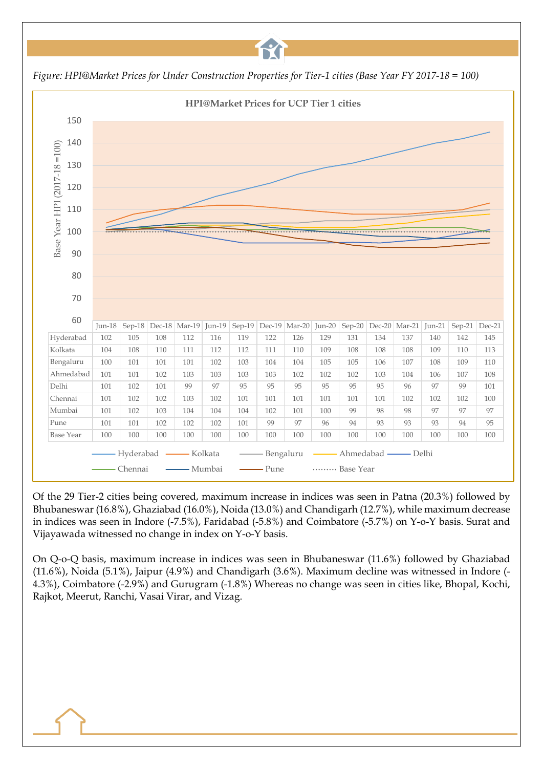*Figure: HPI@Market Prices for Under Construction Properties for Tier-1 cities (Base Year FY 2017-18 = 100)*

**TY** 



Of the 29 Tier-2 cities being covered, maximum increase in indices was seen in Patna (20.3%) followed by Bhubaneswar (16.8%), Ghaziabad (16.0%), Noida (13.0%) and Chandigarh (12.7%), while maximum decrease in indices was seen in Indore (-7.5%), Faridabad (-5.8%) and Coimbatore (-5.7%) on Y-o-Y basis. Surat and Vijayawada witnessed no change in index on Y-o-Y basis.

On Q-o-Q basis, maximum increase in indices was seen in Bhubaneswar (11.6%) followed by Ghaziabad (11.6%), Noida (5.1%), Jaipur (4.9%) and Chandigarh (3.6%). Maximum decline was witnessed in Indore (- 4.3%), Coimbatore (-2.9%) and Gurugram (-1.8%) Whereas no change was seen in cities like, Bhopal, Kochi, Rajkot, Meerut, Ranchi, Vasai Virar, and Vizag.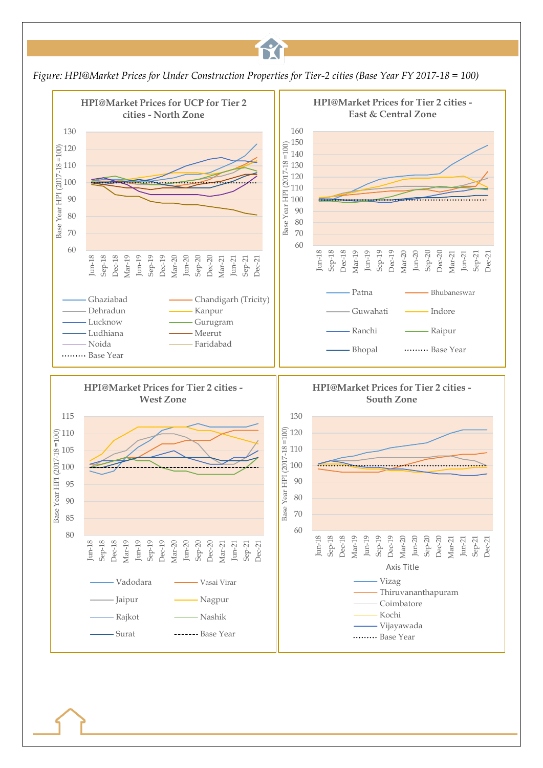

17

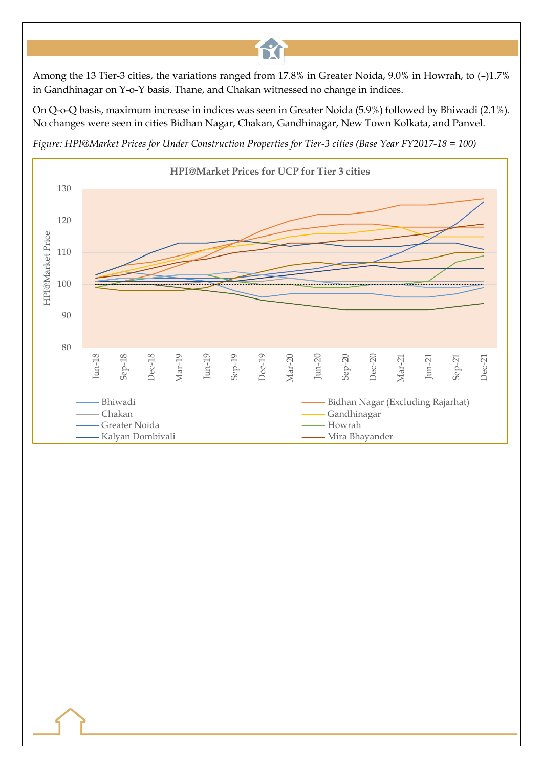Among the 13 Tier-3 cities, the variations ranged from 17.8% in Greater Noida, 9.0% in Howrah, to (–)1.7% in Gandhinagar on Y-o-Y basis. Thane, and Chakan witnessed no change in indices.

fri

On Q-o-Q basis, maximum increase in indices was seen in Greater Noida (5.9%) followed by Bhiwadi (2.1%). No changes were seen in cities Bidhan Nagar, Chakan, Gandhinagar, New Town Kolkata, and Panvel.

*Figure: HPI@Market Prices for Under Construction Properties for Tier-3 cities (Base Year FY2017-18 = 100)*

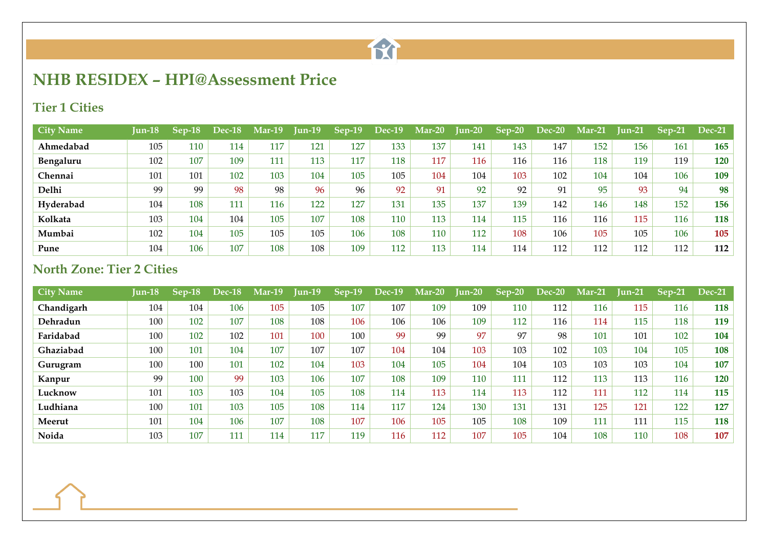

## **NHB RESIDEX – HPI@Assessment Price**

#### **Tier 1 Cities**

| <b>City Name</b> | Jun-18 | Sep-18 | <b>Dec-18</b> | $Mar-19$ | $\text{Jun-19}$ | $Sep-19$ | <b>Dec-19</b> | Mar-20 | Jun-20 | $Sep-20$ | $Dec-20$ | $Mar-21$ | Jun-21 | $Sep-21$ | <b>Dec-21</b> |
|------------------|--------|--------|---------------|----------|-----------------|----------|---------------|--------|--------|----------|----------|----------|--------|----------|---------------|
| Ahmedabad        | 105    | 110    | 114           | 117      | 121             | 127      | 133           | 137    | 141    | 143      | 147      | 152      | 156    | 161      | <b>165</b>    |
| Bengaluru        | 102    | 107    | 109           | 111      | 113             | 117      | 118           | 117    | 116    | 116      | 116      | 118      | 119    | 119      | 120           |
| Chennai          | 101    | 101    | 102           | 103      | 104             | 105      | 105           | 104    | 104    | 103      | 102      | 104      | 104    | 106      | 109           |
| Delhi            | 99     | 99     | 98            | 98       | 96              | 96       | 92            | 91     | 92     | 92       | 91       | 95       | 93     | 94       | 98            |
| Hyderabad        | 104    | 108    | 111           | 116      | 122             | 127      | 131           | 135    | 137    | 139      | 142      | 146      | 148    | 152      | 156           |
| Kolkata          | 103    | 104    | 104           | 105      | 107             | 108      | 110           | 113    | 114    | 115      | 116      | 116      | 115    | 116      | <b>118</b>    |
| Mumbai           | 102    | 104    | 105           | 105      | 105             | 106      | 108           | 110    | 112    | 108      | 106      | 105      | 105    | 106      | 105           |
| Pune             | 104    | 106    | 107           | 108      | 108             | 109      | 112           | 113    | 114    | 114      | 112      | 112      | 112    | 112      | 112           |

#### **North Zone: Tier 2 Cities**

| <b>City Name</b> | <b>Jun-18</b> | $Sep-18$ | Dec-18 | $Mar-19$ | $Jun-19$ | $Sep-19$ | Dec-19 | Mar-20 | <b>Jun-20</b> | $Sep-20$ | Dec-20 | $Mar-21$ | <b>Jun-21</b> | $Sep-21$ | <b>Dec-21</b> |
|------------------|---------------|----------|--------|----------|----------|----------|--------|--------|---------------|----------|--------|----------|---------------|----------|---------------|
| Chandigarh       | 104           | 104      | 106    | 105      | 105      | 107      | 107    | 109    | 109           | 110      | 112    | 116      | 115           | 116      | 118           |
| Dehradun         | 100           | 102      | 107    | 108      | 108      | 106      | 106    | 106    | 109           | 112      | 116    | 114      | 115           | 118      | 119           |
| Faridabad        | 100           | 102      | 102    | 101      | 100      | 100      | 99     | 99     | 97            | 97       | 98     | 101      | 101           | 102      | 104           |
| Ghaziabad        | 100           | 101      | 104    | 107      | 107      | 107      | 104    | 104    | 103           | 103      | 102    | 103      | 104           | 105      | 108           |
| Gurugram         | 100           | 100      | 101    | 102      | 104      | 103      | 104    | 105    | 104           | 104      | 103    | 103      | 103           | 104      | 107           |
| Kanpur           | 99            | 100      | 99     | 103      | 106      | 107      | 108    | 109    | 110           | 111      | 112    | 113      | 113           | 116      | 120           |
| Lucknow          | 101           | 103      | 103    | 104      | 105      | 108      | 114    | 113    | 114           | 113      | 112    | 111      | 112           | 114      | 115           |
| Ludhiana         | 100           | 101      | 103    | 105      | 108      | 114      | 117    | 124    | 130           | 131      | 131    | 125      | 121           | 122      | 127           |
| Meerut           | 101           | 104      | 106    | 107      | 108      | 107      | 106    | 105    | 105           | 108      | 109    | 111      | 111           | 115      | 118           |
| Noida            | 103           | 107      | 111    | 114      | 117      | 119      | 116    | 112    | 107           | 105      | 104    | 108      | 110           | 108      | 107           |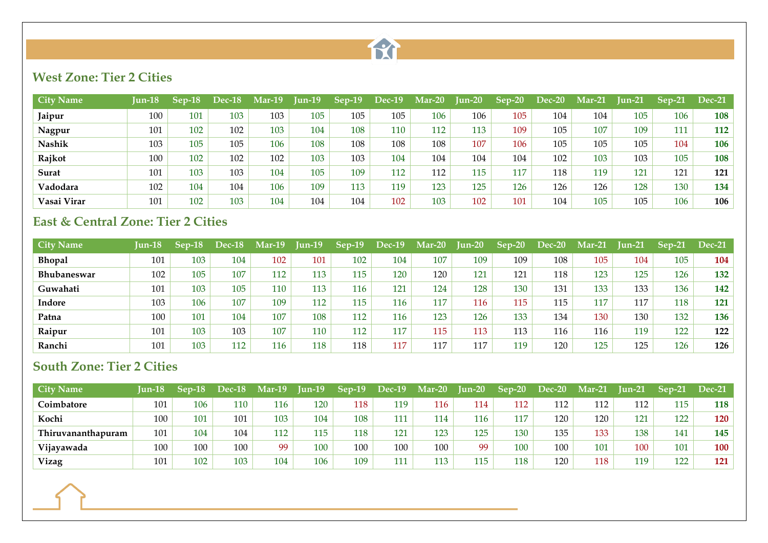

#### **West Zone: Tier 2 Cities**

| <b>City Name</b> | Jun-18 | $Sep-18$ | Dec-18 | Mar-19 | $Jun-19$ | $Sep-19$ | <b>Dec-19</b> | $Mar-20$ | $\text{Jun-20}$ | $Sep-20$ | Dec-20 | <b>Mar-21</b> | Iun-21 | Sep-21 | <b>Dec-21</b> |
|------------------|--------|----------|--------|--------|----------|----------|---------------|----------|-----------------|----------|--------|---------------|--------|--------|---------------|
| Jaipur           | 100    | 101      | 103    | 103    | 105      | 105      | 105           | 106      | 106             | 105      | 104    | 104           | 105    | 106    | 108           |
| Nagpur           | 101    | 102      | 102    | 103    | 104      | 108      | 110           | 112      | 113             | 109      | 105    | 107           | 109    | 111    | 112           |
| Nashik           | 103    | 105      | 105    | 106    | 108      | 108      | 108           | 108      | 107             | 106      | 105    | 105           | 105    | 104    | 106           |
| Rajkot           | 100    | 102      | 102    | 102    | 103      | 103      | 104           | 104      | 104             | 104      | 102    | 103           | 103    | 105    | 108           |
| Surat            | 101    | 103      | 103    | 104    | 105      | 109      | 112           | 112      | 115             | 117      | 118    | 119           | 121    | 121    | 121           |
| Vadodara         | 102    | 104      | 104    | 106    | 109      | 113      | 119           | 123      | 125             | 126      | 126    | 126           | 128    | 130    | 134           |
| Vasai Virar      | 101    | 102      | 103    | 104    | 104      | 104      | 102           | 103      | 102             | 101      | 104    | 105           | 105    | 106    | 106           |

#### **East & Central Zone: Tier 2 Cities**

| <b>City Name</b>   | $I$ un-18 | $Sep-18$ | Dec-18 | Mar-19 | $\text{I}$ un-19 | $Sep-19$ | $Dec-19$ | $\mathbf{Mar-}20$ | <b>Jun-20</b> | $Sep-20$ | Dec-20 | $Mar-21$ | <b>Iun-21</b> | $Sep-21$ | <b>Dec-21</b> |
|--------------------|-----------|----------|--------|--------|------------------|----------|----------|-------------------|---------------|----------|--------|----------|---------------|----------|---------------|
| <b>Bhopal</b>      | 101       | 103      | 104    | 102    | 101              | 102      | 104      | 107               | 109           | 109      | 108    | 105      | 104           | 105      | 104           |
| <b>Bhubaneswar</b> | 102       | 105      | 107    | 112    | 113              | 115      | 120      | 120               | 121           | 121      | 118    | 123      | 125           | 126      | 132           |
| Guwahati           | 101       | 103      | 105    | 110    | 113              | 116      | 121      | 124               | 128           | 130      | 131    | 133      | 133           | 136      | 142           |
| Indore             | 103       | 106      | 107    | 109    | 112              | 115      | 116      | 117               | 116           | 115      | 115    | 117      | 117           | 118      | 121           |
| Patna              | 100       | 101      | 104    | 107    | 108              | 112      | 116      | 123               | 126           | 133      | 134    | 130      | 130           | 132      | 136           |
| Raipur             | 101       | 103      | 103    | 107    | 110              | 112      | 117      | 115               | 113           | 113      | 116    | 116      | 119           | 122      | 122           |
| Ranchi             | 101       | 103      | 112    | 116    | 118              | 118      | 117      | 117               | 117           | 119      | 120    | 125      | 125           | 126      | 126           |

#### **South Zone: Tier 2 Cities**

| <b>City Name</b>   | Iun-18 | $Sep-18$ | Dec-18 | $Mar-19$ | $I$ un-19 | Sep-19 | $Dec-19$ | $Mar-20$ | $I$ un-20 | $Sep-20$ | Dec-20 | $Mar-21$ | Iun-21 | $Sep-21$ | $Dec-21$ |
|--------------------|--------|----------|--------|----------|-----------|--------|----------|----------|-----------|----------|--------|----------|--------|----------|----------|
| Coimbatore         | 101    | 106      | 110    | 116      | 120       | 118    | 119      | 116      | 114       | 112      | 112    | 112      | 112    | 115      | 118      |
| Kochi              | 100    | 101      | 101    | 103      | 104       | 108    | 111      | 114      | 116       | 117      | 120    | 120      | 121    | 122      | 120      |
| Thiruvananthapuram | 101    | 104      | 104    | 112      | 115       | 118    | 121      | 123      | 125       | 130      | 135    | 133      | 138    | 141      | 145      |
| Vijayawada         | 100    | 100      | 100    | 99       | 100       | 100    | 100      | 100      | 99        | 100      | 100    | 101      | 100    | 101      | 100      |
| <b>Vizag</b>       | 101    | 102      | 103    | 104      | 106       | 109    | 111      | 113      | 115       | 118      | 120    | 118      | 119    | 122      | 121      |

the control of the control of the control of the control of the control of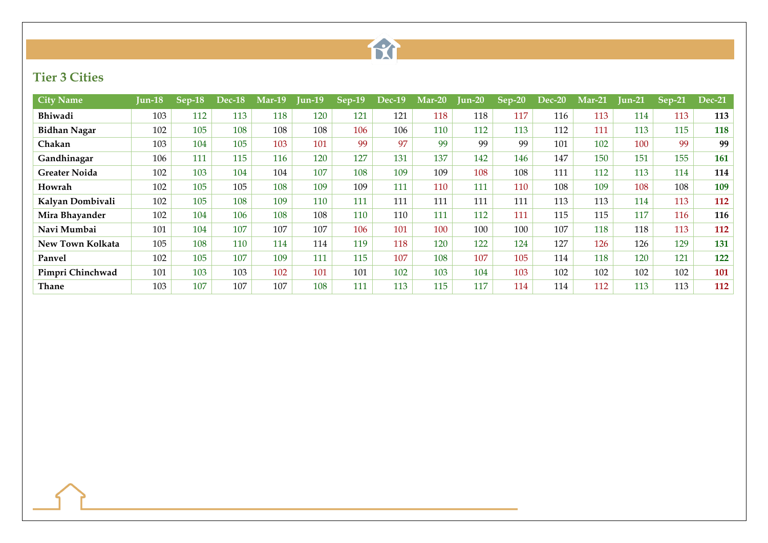

### **Tier 3 Cities**

| <b>City Name</b>     | Jun-18 | $ {\bf Sep\text{-}18} $ | <b>Dec-18</b> | <b>Mar-19</b> | Jun-19 | $\overline{\text{Sep-}19}$ | $Dec-19$ | $Mar-20$ | $Jun-20$ | $Sep-20$ | Dec-20 | $Mar-21$ | $\mathbf{I}$ un-21 | $Sep-21$ | <b>Dec-21</b> |
|----------------------|--------|-------------------------|---------------|---------------|--------|----------------------------|----------|----------|----------|----------|--------|----------|--------------------|----------|---------------|
| Bhiwadi              | 103    | 112                     | 113           | 118           | 120    | 121                        | 121      | 118      | 118      | 117      | 116    | 113      | 114                | 113      | 113           |
| <b>Bidhan Nagar</b>  | 102    | 105                     | 108           | 108           | 108    | 106                        | 106      | 110      | 112      | 113      | 112    | 111      | 113                | 115      | 118           |
| Chakan               | 103    | 104                     | 105           | 103           | 101    | 99                         | 97       | 99       | 99       | 99       | 101    | 102      | 100                | 99       | 99            |
| Gandhinagar          | 106    | 111                     | 115           | 116           | 120    | 127                        | 131      | 137      | 142      | 146      | 147    | 150      | 151                | 155      | 161           |
| <b>Greater Noida</b> | 102    | 103                     | 104           | 104           | 107    | 108                        | 109      | 109      | 108      | 108      | 111    | 112      | 113                | 114      | 114           |
| Howrah               | 102    | 105                     | 105           | 108           | 109    | 109                        | 111      | 110      | 111      | 110      | 108    | 109      | 108                | 108      | 109           |
| Kalyan Dombivali     | 102    | 105                     | 108           | 109           | 110    | 111                        | 111      | 111      | 111      | 111      | 113    | 113      | 114                | 113      | 112           |
| Mira Bhayander       | 102    | 104                     | 106           | 108           | 108    | 110                        | 110      | 111      | 112      | 111      | 115    | 115      | 117                | 116      | 116           |
| Navi Mumbai          | 101    | 104                     | 107           | 107           | 107    | 106                        | 101      | 100      | 100      | 100      | 107    | 118      | 118                | 113      | 112           |
| New Town Kolkata     | 105    | 108                     | 110           | 114           | 114    | 119                        | 118      | 120      | 122      | 124      | 127    | 126      | 126                | 129      | 131           |
| Panvel               | 102    | 105                     | 107           | 109           | 111    | 115                        | 107      | 108      | 107      | 105      | 114    | 118      | 120                | 121      | 122           |
| Pimpri Chinchwad     | 101    | 103                     | 103           | 102           | 101    | 101                        | 102      | 103      | 104      | 103      | 102    | 102      | 102                | 102      | 101           |
| Thane                | 103    | 107                     | 107           | 107           | 108    | 111                        | 113      | 115      | 117      | 114      | 114    | 112      | 113                | 113      | 112           |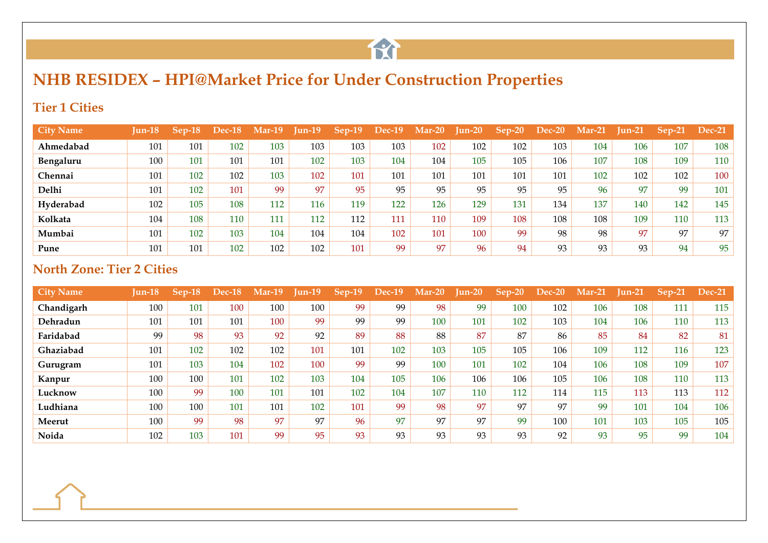

## **NHB RESIDEX – HPI@Market Price for Under Construction Properties**

#### **Tier 1 Cities**

| <b>City Name</b> | Jun-18 | $Sep-18$ | Dec-18 | $Mar-19$ | $\text{I}$ un-19 | $Sep-19$ | <b>Dec-19</b> | $Mar-20$ | $\mathbf{I}$ un-20 | $Sep-20$ | Dec-20 | $Mar-21$ | $\text{I}$ un-21 | $Sep-21$ | <b>Dec-21</b> |
|------------------|--------|----------|--------|----------|------------------|----------|---------------|----------|--------------------|----------|--------|----------|------------------|----------|---------------|
| Ahmedabad        | 101    | 101      | 102    | 103      | 103              | 103      | 103           | 102      | 102                | 102      | 103    | 104      | 106              | 107      | 108           |
| Bengaluru        | 100    | 101      | 101    | 101      | 102              | 103      | 104           | 104      | 105                | 105      | 106    | 107      | 108              | 109      | 110           |
| Chennai          | 101    | 102      | 102    | 103      | 102              | 101      | 101           | 101      | 101                | 101      | 101    | 102      | 102              | 102      | 100           |
| Delhi            | 101    | 102      | 101    | 99       | 97               | 95       | 95            | 95       | 95                 | 95       | 95     | 96       | 97               | 99       | 101           |
| Hyderabad        | 102    | 105      | 108    | 112      | 116              | 119      | 122           | 126      | 129                | 131      | 134    | 137      | 140              | 142      | 145           |
| Kolkata          | 104    | 108      | 110    | 111      | 112              | 112      | 111           | 110      | 109                | 108      | 108    | 108      | 109              | 110      | 113           |
| Mumbai           | 101    | 102      | 103    | 104      | 104              | 104      | 102           | 101      | 100                | 99       | 98     | 98       | 97               | 97       | 97            |
| Pune             | 101    | 101      | 102    | 102      | 102              | 101      | 99            | 97       | 96                 | 94       | 93     | 93       | 93               | 94       | 95            |

#### **North Zone: Tier 2 Cities**

| <b>City Name</b> | $Jun-18$ | Sep-18 | Dec-18 | Mar-19 | $Jun-19$ | $Sep-19$ | <b>Dec-19</b> | $Mar-20$ | $\mathop{\text{Inn-20}}$ | $Sep-20$ | <b>Dec-20</b> | $Mar-21$ | $\text{I}$ un-21 | $Sep-21$ | <b>Dec-21</b> |
|------------------|----------|--------|--------|--------|----------|----------|---------------|----------|--------------------------|----------|---------------|----------|------------------|----------|---------------|
| Chandigarh       | 100      | 101    | 100    | 100    | 100      | 99       | 99            | 98       | 99                       | 100      | 102           | 106      | 108              | 111      | 115           |
| Dehradun         | 101      | 101    | 101    | 100    | 99       | 99       | 99            | 100      | 101                      | 102      | 103           | 104      | 106              | 110      | 113           |
| Faridabad        | 99       | 98     | 93     | 92     | 92       | 89       | 88            | 88       | 87                       | 87       | 86            | 85       | 84               | 82       | 81            |
| Ghaziabad        | 101      | 102    | 102    | 102    | 101      | 101      | 102           | 103      | 105                      | 105      | 106           | 109      | 112              | 116      | 123           |
| Gurugram         | 101      | 103    | 104    | 102    | 100      | 99       | 99            | 100      | 101                      | 102      | 104           | 106      | 108              | 109      | 107           |
| Kanpur           | 100      | 100    | 101    | 102    | 103      | 104      | 105           | 106      | 106                      | 106      | 105           | 106      | 108              | 110      | 113           |
| Lucknow          | 100      | 99     | 100    | 101    | 101      | 102      | 104           | 107      | 110                      | 112      | 114           | 115      | 113              | 113      | 112           |
| Ludhiana         | 100      | 100    | 101    | 101    | 102      | 101      | 99            | 98       | 97                       | 97       | 97            | 99       | 101              | 104      | 106           |
| Meerut           | 100      | 99     | 98     | 97     | 97       | 96       | 97            | 97       | 97                       | 99       | 100           | 101      | 103              | 105      | 105           |
| Noida            | 102      | 103    | 101    | 99     | 95       | 93       | 93            | 93       | 93                       | 93       | 92            | 93       | 95               | 99       | 104           |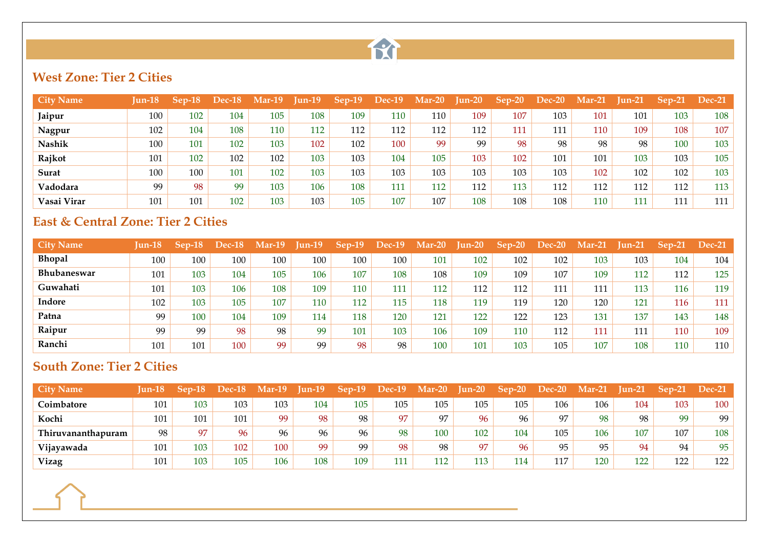

#### **West Zone: Tier 2 Cities**

| <b>City Name</b> | <b>Iun-18</b> | Sep-18 | <b>Dec-18</b> | $Mar-19$ | $\mathbf{I}$ un-19 | $Sep-19$ | <b>Dec-19</b> | $Mar-20$ | <b>Jun-20</b> | $Sep-20$ | $Dec-20$ | $Mar-21$ | Jun-21 | $Sep-21$ | $Dec-21$ |
|------------------|---------------|--------|---------------|----------|--------------------|----------|---------------|----------|---------------|----------|----------|----------|--------|----------|----------|
| Jaipur           | 100           | 102    | 104           | 105      | 108                | 109      | 110           | 110      | 109           | 107      | 103      | 101      | 101    | 103      | 108      |
| Nagpur           | 102           | 104    | 108           | 110      | 112                | 112      | 112           | 112      | 112           | 111      | 111      | 110      | 109    | 108      | 107      |
| <b>Nashik</b>    | 100           | 101    | 102           | 103      | 102                | 102      | 100           | 99       | 99            | 98       | 98       | 98       | 98     | 100      | 103      |
| Rajkot           | 101           | 102    | 102           | 102      | 103                | 103      | 104           | 105      | 103           | 102      | 101      | 101      | 103    | 103      | 105      |
| Surat            | 100           | 100    | 101           | 102      | 103                | 103      | 103           | 103      | 103           | 103      | 103      | 102      | 102    | 102      | 103      |
| Vadodara         | 99            | 98     | 99            | 103      | 106                | 108      | 111           | 112      | 112           | 113      | 112      | 112      | 112    | 112      | 113      |
| Vasai Virar      | 101           | 101    | 102           | 103      | 103                | 105      | 107           | 107      | 108           | 108      | 108      | 110      | 111    | 111      | 111      |

#### **East & Central Zone: Tier 2 Cities**

| <b>City Name</b>   | $I$ un-18 | $Sep-18$ | Dec-18 | $Mar-19$ | $Jun-19$ | $Sep-19$ | <b>Dec-19</b> | $Mar-20$ | <b>Jun-20</b> | $Sep-20$ | <b>Dec-20</b> | $Mar-21$ | $\text{I}$ un-21 | $Sep-21$ | <b>Dec-21</b> |
|--------------------|-----------|----------|--------|----------|----------|----------|---------------|----------|---------------|----------|---------------|----------|------------------|----------|---------------|
| <b>Bhopal</b>      | 100       | 100      | 100    | 100      | 100      | 100      | 100           | 101      | 102           | 102      | 102           | 103      | 103              | 104      | 104           |
| <b>Bhubaneswar</b> | 101       | 103      | 104    | 105      | 106      | 107      | 108           | 108      | 109           | 109      | 107           | 109      | 112              | 112      | 125           |
| Guwahati           | 101       | 103      | 106    | 108      | 109      | 110      | 111           | 112      | 112           | 112      | 111           | 111      | 113              | 116      | 119           |
| Indore             | 102       | 103      | 105    | 107      | 110      | 112      | 115           | 118      | 119           | 119      | 120           | 120      | 121              | 116      | 111           |
| Patna              | 99        | 100      | 104    | 109      | 114      | 118      | 120           | 121      | 122           | 122      | 123           | 131      | 137              | 143      | 148           |
| Raipur             | 99        | 99       | 98     | 98       | 99       | 101      | 103           | 106      | 109           | 110      | 112           | 111      | 111              | 110      | 109           |
| Ranchi             | 101       | 101      | 100    | 99       | 99       | 98       | 98            | 100      | 101           | 103      | 105           | 107      | 108              | 110      | 110           |

#### **South Zone: Tier 2 Cities**

| <b>City Name</b>   | <b>Iun-18</b> | ۳۵n | <b>Dec-18</b> | $Mar-19$ | $I$ un-19 |     | <b>Dec-19</b> | $Mar-20$       | $I$ un-20 | $Sep-20$ | Dec-20 | $Mar-21$ | Tun-21 | Sep-21 | <b>Dec-21</b> |
|--------------------|---------------|-----|---------------|----------|-----------|-----|---------------|----------------|-----------|----------|--------|----------|--------|--------|---------------|
| <b>Coimbatore</b>  | 101           | 103 | 103           | 103      | 104       | 105 | 105           | 105            | 105       | 105      | 106    | 106      | 104    | 103    | 100           |
| Kochi              | 101           | 101 | 101           | 99       | 98        | 98  | 97            | Q <sub>7</sub> | 96        | 96       | 97     | 98       | 98     | 99     | 99            |
| Thiruvananthapuram | 98            | 97  | 96            | 96       | 96        | 96  | 98            | 100            | 102       | 104      | 105    | 106      | 107    | 107    | 108           |
| Vijayawada         | 101           | 103 | 102           | 100      | 99        | 99  | 98            | 98             | 97        | 96       | 95     | 95       | 94     | 94     | 95            |
| Vizag              | 101           | 103 | 105           | 106      | 108       | 109 | 111           | 112            | 113       | 114      | 117    | 120      | 122    | 122    | 122           |

the control of the control of the control of the control of the control of